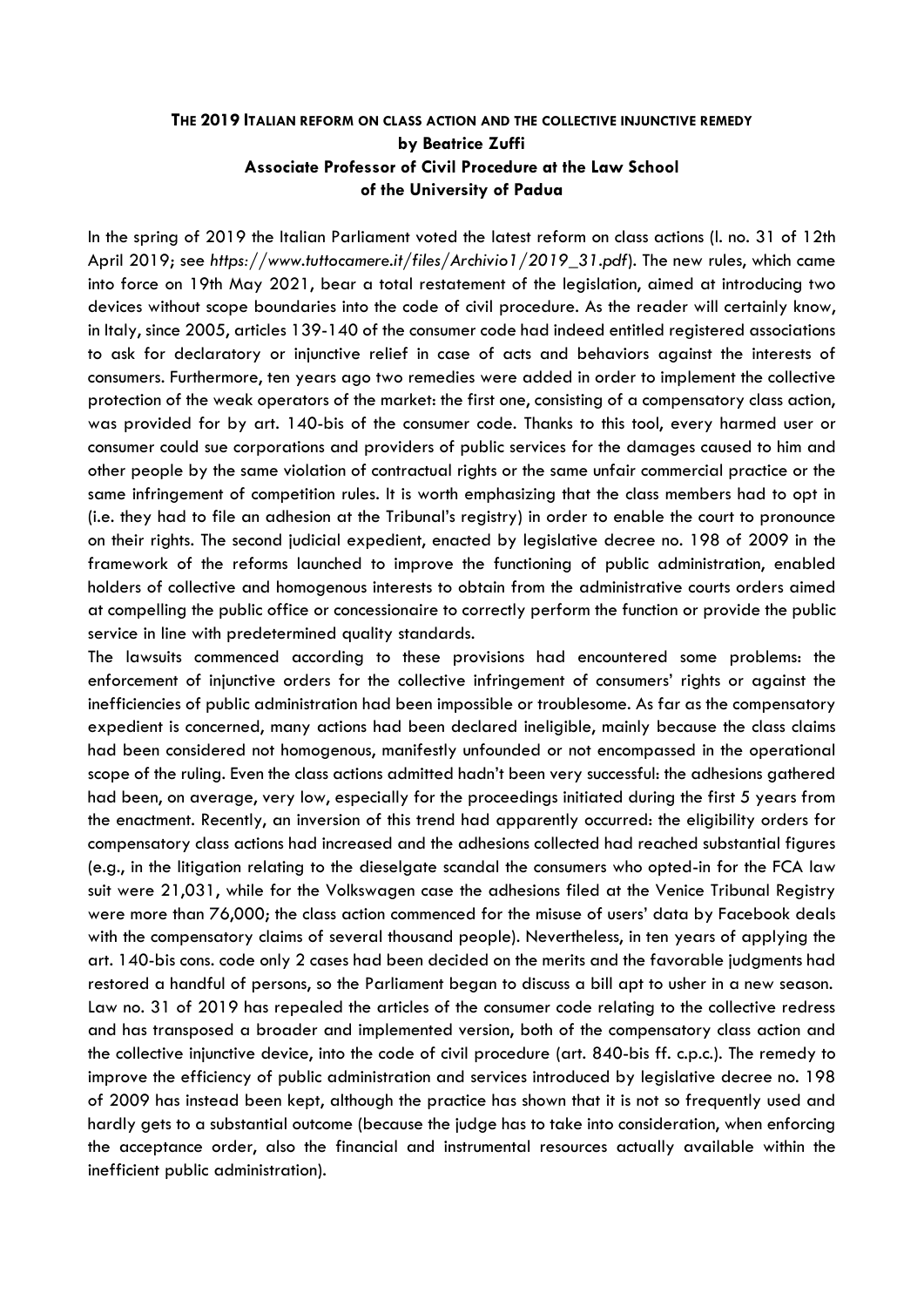# **THE 2019 ITALIAN REFORM ON CLASS ACTION AND THE COLLECTIVE INJUNCTIVE REMEDY by Beatrice Zuffi Associate Professor of Civil Procedure at the Law School of the University of Padua**

In the spring of 2019 the Italian Parliament voted the latest reform on class actions (l. no. 31 of 12th April 2019; see *https://www.tuttocamere.it/files/Archivio1/2019\_31.pdf*). The new rules, which came into force on 19th May 2021, bear a total restatement of the legislation, aimed at introducing two devices without scope boundaries into the code of civil procedure. As the reader will certainly know, in Italy, since 2005, articles 139-140 of the consumer code had indeed entitled registered associations to ask for declaratory or injunctive relief in case of acts and behaviors against the interests of consumers. Furthermore, ten years ago two remedies were added in order to implement the collective protection of the weak operators of the market: the first one, consisting of a compensatory class action, was provided for by art. 140-bis of the consumer code. Thanks to this tool, every harmed user or consumer could sue corporations and providers of public services for the damages caused to him and other people by the same violation of contractual rights or the same unfair commercial practice or the same infringement of competition rules. It is worth emphasizing that the class members had to opt in (i.e. they had to file an adhesion at the Tribunal's registry) in order to enable the court to pronounce on their rights. The second judicial expedient, enacted by legislative decree no. 198 of 2009 in the framework of the reforms launched to improve the functioning of public administration, enabled holders of collective and homogenous interests to obtain from the administrative courts orders aimed at compelling the public office or concessionaire to correctly perform the function or provide the public service in line with predetermined quality standards.

The lawsuits commenced according to these provisions had encountered some problems: the enforcement of injunctive orders for the collective infringement of consumers' rights or against the inefficiencies of public administration had been impossible or troublesome. As far as the compensatory expedient is concerned, many actions had been declared ineligible, mainly because the class claims had been considered not homogenous, manifestly unfounded or not encompassed in the operational scope of the ruling. Even the class actions admitted hadn't been very successful: the adhesions gathered had been, on average, very low, especially for the proceedings initiated during the first 5 years from the enactment. Recently, an inversion of this trend had apparently occurred: the eligibility orders for compensatory class actions had increased and the adhesions collected had reached substantial figures (e.g., in the litigation relating to the dieselgate scandal the consumers who opted-in for the FCA law suit were 21,031, while for the Volkswagen case the adhesions filed at the Venice Tribunal Registry were more than 76,000; the class action commenced for the misuse of users' data by Facebook deals with the compensatory claims of several thousand people). Nevertheless, in ten years of applying the art. 140-bis cons. code only 2 cases had been decided on the merits and the favorable judgments had restored a handful of persons, so the Parliament began to discuss a bill apt to usher in a new season. Law no. 31 of 2019 has repealed the articles of the consumer code relating to the collective redress and has transposed a broader and implemented version, both of the compensatory class action and the collective injunctive device, into the code of civil procedure (art. 840-bis ff. c.p.c.). The remedy to improve the efficiency of public administration and services introduced by legislative decree no. 198 of 2009 has instead been kept, although the practice has shown that it is not so frequently used and hardly gets to a substantial outcome (because the judge has to take into consideration, when enforcing the acceptance order, also the financial and instrumental resources actually available within the inefficient public administration).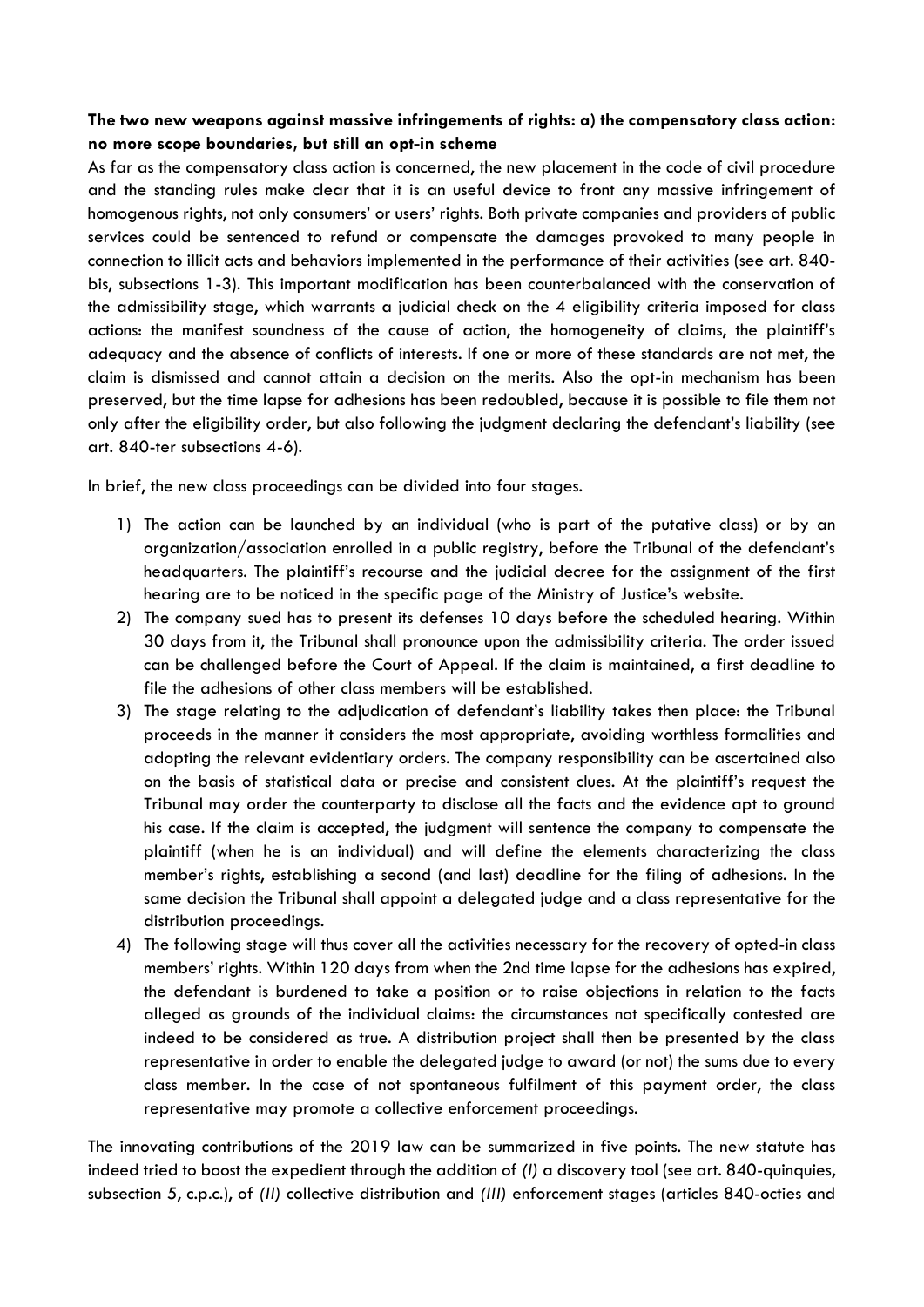### **The two new weapons against massive infringements of rights: a) the compensatory class action: no more scope boundaries, but still an opt-in scheme**

As far as the compensatory class action is concerned, the new placement in the code of civil procedure and the standing rules make clear that it is an useful device to front any massive infringement of homogenous rights, not only consumers' or users' rights. Both private companies and providers of public services could be sentenced to refund or compensate the damages provoked to many people in connection to illicit acts and behaviors implemented in the performance of their activities (see art. 840 bis, subsections 1-3). This important modification has been counterbalanced with the conservation of the admissibility stage, which warrants a judicial check on the 4 eligibility criteria imposed for class actions: the manifest soundness of the cause of action, the homogeneity of claims, the plaintiff's adequacy and the absence of conflicts of interests. If one or more of these standards are not met, the claim is dismissed and cannot attain a decision on the merits. Also the opt-in mechanism has been preserved, but the time lapse for adhesions has been redoubled, because it is possible to file them not only after the eligibility order, but also following the judgment declaring the defendant's liability (see art. 840-ter subsections 4-6).

In brief, the new class proceedings can be divided into four stages.

- 1) The action can be launched by an individual (who is part of the putative class) or by an organization/association enrolled in a public registry, before the Tribunal of the defendant's headquarters. The plaintiff's recourse and the judicial decree for the assignment of the first hearing are to be noticed in the specific page of the Ministry of Justice's website.
- 2) The company sued has to present its defenses 10 days before the scheduled hearing. Within 30 days from it, the Tribunal shall pronounce upon the admissibility criteria. The order issued can be challenged before the Court of Appeal. If the claim is maintained, a first deadline to file the adhesions of other class members will be established.
- 3) The stage relating to the adjudication of defendant's liability takes then place: the Tribunal proceeds in the manner it considers the most appropriate, avoiding worthless formalities and adopting the relevant evidentiary orders. The company responsibility can be ascertained also on the basis of statistical data or precise and consistent clues. At the plaintiff's request the Tribunal may order the counterparty to disclose all the facts and the evidence apt to ground his case. If the claim is accepted, the judgment will sentence the company to compensate the plaintiff (when he is an individual) and will define the elements characterizing the class member's rights, establishing a second (and last) deadline for the filing of adhesions. In the same decision the Tribunal shall appoint a delegated judge and a class representative for the distribution proceedings.
- 4) The following stage will thus cover all the activities necessary for the recovery of opted-in class members' rights. Within 120 days from when the 2nd time lapse for the adhesions has expired, the defendant is burdened to take a position or to raise objections in relation to the facts alleged as grounds of the individual claims: the circumstances not specifically contested are indeed to be considered as true. A distribution project shall then be presented by the class representative in order to enable the delegated judge to award (or not) the sums due to every class member. In the case of not spontaneous fulfilment of this payment order, the class representative may promote a collective enforcement proceedings.

The innovating contributions of the 2019 law can be summarized in five points. The new statute has indeed tried to boost the expedient through the addition of *(I)* a discovery tool (see art. 840-quinquies, subsection 5, c.p.c.), of *(II)* collective distribution and *(III)* enforcement stages (articles 840-octies and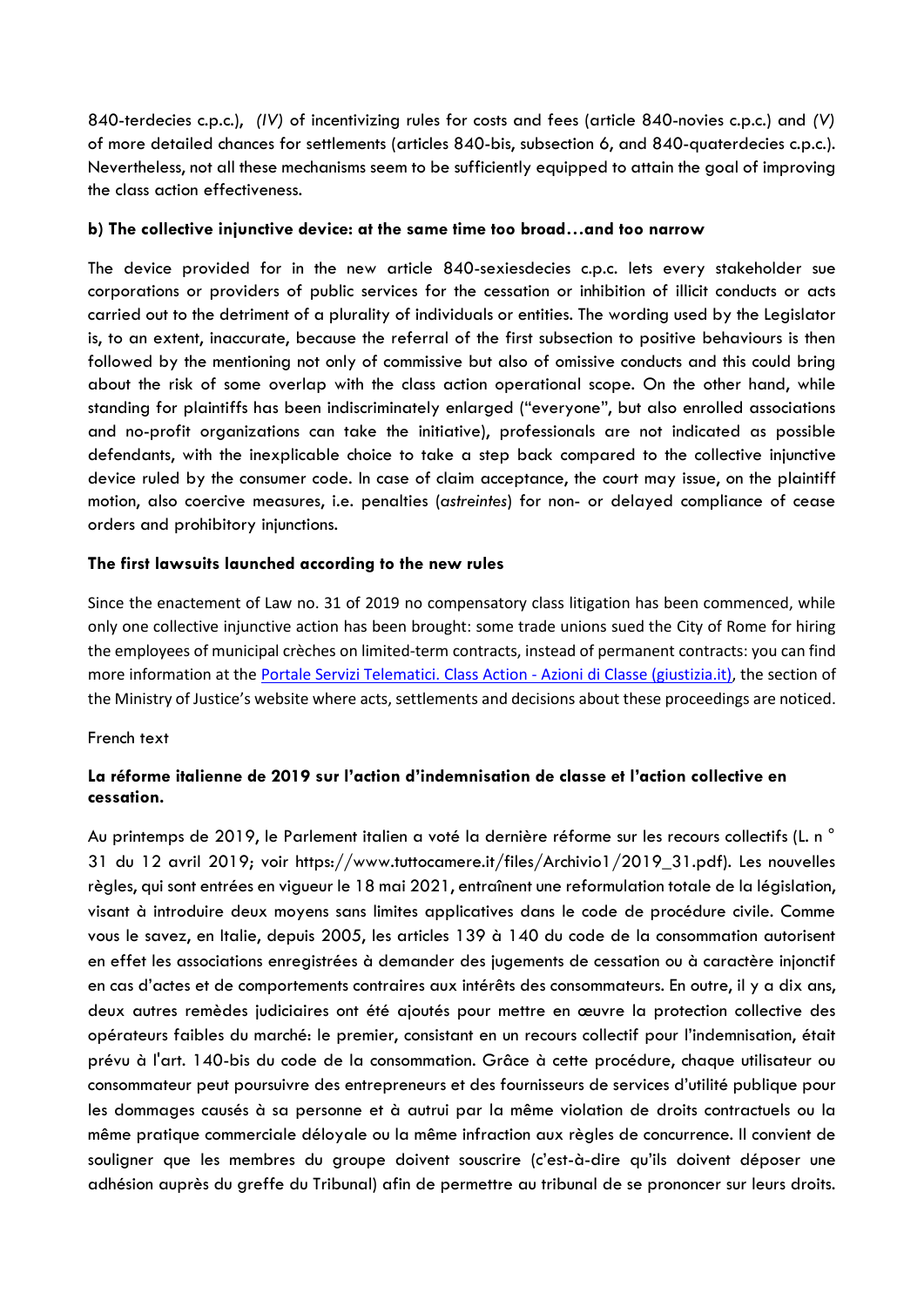840-terdecies c.p.c.), *(IV)* of incentivizing rules for costs and fees (article 840-novies c.p.c.) and *(V)* of more detailed chances for settlements (articles 840-bis, subsection 6, and 840-quaterdecies c.p.c.). Nevertheless, not all these mechanisms seem to be sufficiently equipped to attain the goal of improving the class action effectiveness.

#### **b) The collective injunctive device: at the same time too broad…and too narrow**

The device provided for in the new article 840-sexiesdecies c.p.c. lets every stakeholder sue corporations or providers of public services for the cessation or inhibition of illicit conducts or acts carried out to the detriment of a plurality of individuals or entities. The wording used by the Legislator is, to an extent, inaccurate, because the referral of the first subsection to positive behaviours is then followed by the mentioning not only of commissive but also of omissive conducts and this could bring about the risk of some overlap with the class action operational scope. On the other hand, while standing for plaintiffs has been indiscriminately enlarged ("everyone", but also enrolled associations and no-profit organizations can take the initiative), professionals are not indicated as possible defendants, with the inexplicable choice to take a step back compared to the collective injunctive device ruled by the consumer code. In case of claim acceptance, the court may issue, on the plaintiff motion, also coercive measures, i.e. penalties (*astreintes*) for non- or delayed compliance of cease orders and prohibitory injunctions.

### **The first lawsuits launched according to the new rules**

Since the enactement of Law no. 31 of 2019 no compensatory class litigation has been commenced, while only one collective injunctive action has been brought: some trade unions sued the City of Rome for hiring the employees of municipal crèches on limited-term contracts, instead of permanent contracts: you can find more information at the [Portale Servizi Telematici. Class Action -](https://pst.giustizia.it/PST/it/pst_2_16.wp?previousPage=search_results) Azioni di Classe (giustizia.it), the section of the Ministry of Justice's website where acts, settlements and decisions about these proceedings are noticed.

#### French text

### **La réforme italienne de 2019 sur l'action d'indemnisation de classe et l'action collective en cessation.**

Au printemps de 2019, le Parlement italien a voté la dernière réforme sur les recours collectifs (L. n ° 31 du 12 avril 2019; voir https://www.tuttocamere.it/files/Archivio1/2019\_31.pdf). Les nouvelles règles, qui sont entrées en vigueur le 18 mai 2021, entraînent une reformulation totale de la législation, visant à introduire deux moyens sans limites applicatives dans le code de procédure civile. Comme vous le savez, en Italie, depuis 2005, les articles 139 à 140 du code de la consommation autorisent en effet les associations enregistrées à demander des jugements de cessation ou à caractère injonctif en cas d'actes et de comportements contraires aux intérêts des consommateurs. En outre, il y a dix ans, deux autres remèdes judiciaires ont été ajoutés pour mettre en œuvre la protection collective des opérateurs faibles du marché: le premier, consistant en un recours collectif pour l'indemnisation, était prévu à l'art. 140-bis du code de la consommation. Grâce à cette procédure, chaque utilisateur ou consommateur peut poursuivre des entrepreneurs et des fournisseurs de services d'utilité publique pour les dommages causés à sa personne et à autrui par la même violation de droits contractuels ou la même pratique commerciale déloyale ou la même infraction aux règles de concurrence. Il convient de souligner que les membres du groupe doivent souscrire (c'est-à-dire qu'ils doivent déposer une adhésion auprès du greffe du Tribunal) afin de permettre au tribunal de se prononcer sur leurs droits.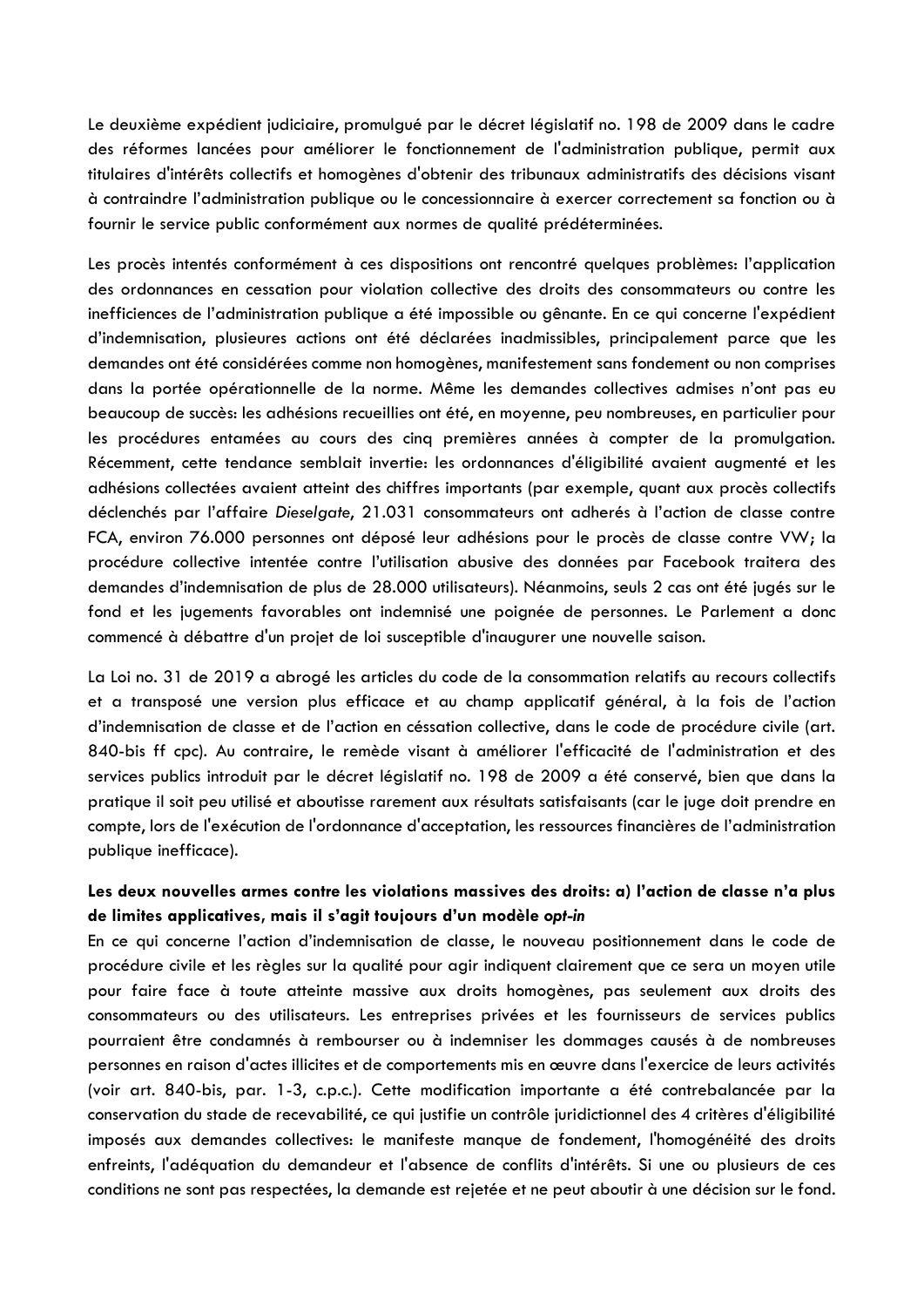Le deuxième expédient judiciaire, promulgué par le décret législatif no. 198 de 2009 dans le cadre des réformes lancées pour améliorer le fonctionnement de l'administration publique, permit aux titulaires d'intérêts collectifs et homogènes d'obtenir des tribunaux administratifs des décisions visant à contraindre l'administration publique ou le concessionnaire à exercer correctement sa fonction ou à fournir le service public conformément aux normes de qualité prédéterminées.

Les procès intentés conformément à ces dispositions ont rencontré quelques problèmes: l'application des ordonnances en cessation pour violation collective des droits des consommateurs ou contre les inefficiences de l'administration publique a été impossible ou gênante. En ce qui concerne l'expédient d'indemnisation, plusieures actions ont été déclarées inadmissibles, principalement parce que les demandes ont été considérées comme non homogènes, manifestement sans fondement ou non comprises dans la portée opérationnelle de la norme. Même les demandes collectives admises n'ont pas eu beaucoup de succès: les adhésions recueillies ont été, en moyenne, peu nombreuses, en particulier pour les procédures entamées au cours des cinq premières années à compter de la promulgation. Récemment, cette tendance semblait invertie: les ordonnances d'éligibilité avaient augmenté et les adhésions collectées avaient atteint des chiffres importants (par exemple, quant aux procès collectifs déclenchés par l'affaire *Dieselgate*, 21.031 consommateurs ont adherés à l'action de classe contre FCA, environ 76.000 personnes ont déposé leur adhésions pour le procès de classe contre VW; la procédure collective intentée contre l'utilisation abusive des données par Facebook traitera des demandes d'indemnisation de plus de 28.000 utilisateurs). Néanmoins, seuls 2 cas ont été jugés sur le fond et les jugements favorables ont indemnisé une poignée de personnes. Le Parlement a donc commencé à débattre d'un projet de loi susceptible d'inaugurer une nouvelle saison.

La Loi no. 31 de 2019 a abrogé les articles du code de la consommation relatifs au recours collectifs et a transposé une version plus efficace et au champ applicatif général, à la fois de l'action d'indemnisation de classe et de l'action en céssation collective, dans le code de procédure civile (art. 840-bis ff cpc). Au contraire, le remède visant à améliorer l'efficacité de l'administration et des services publics introduit par le décret législatif no. 198 de 2009 a été conservé, bien que dans la pratique il soit peu utilisé et aboutisse rarement aux résultats satisfaisants (car le juge doit prendre en compte, lors de l'exécution de l'ordonnance d'acceptation, les ressources financières de l'administration publique inefficace).

# **Les deux nouvelles armes contre les violations massives des droits: a) l'action de classe n'a plus de limites applicatives, mais il s'agit toujours d'un modèle** *opt-in*

En ce qui concerne l'action d'indemnisation de classe, le nouveau positionnement dans le code de procédure civile et les règles sur la qualité pour agir indiquent clairement que ce sera un moyen utile pour faire face à toute atteinte massive aux droits homogènes, pas seulement aux droits des consommateurs ou des utilisateurs. Les entreprises privées et les fournisseurs de services publics pourraient être condamnés à rembourser ou à indemniser les dommages causés à de nombreuses personnes en raison d'actes illicites et de comportements mis en œuvre dans l'exercice de leurs activités (voir art. 840-bis, par. 1-3, c.p.c.). Cette modification importante a été contrebalancée par la conservation du stade de recevabilité, ce qui justifie un contrôle juridictionnel des 4 critères d'éligibilité imposés aux demandes collectives: le manifeste manque de fondement, l'homogénéité des droits enfreints, l'adéquation du demandeur et l'absence de conflits d'intérêts. Si une ou plusieurs de ces conditions ne sont pas respectées, la demande est rejetée et ne peut aboutir à une décision sur le fond.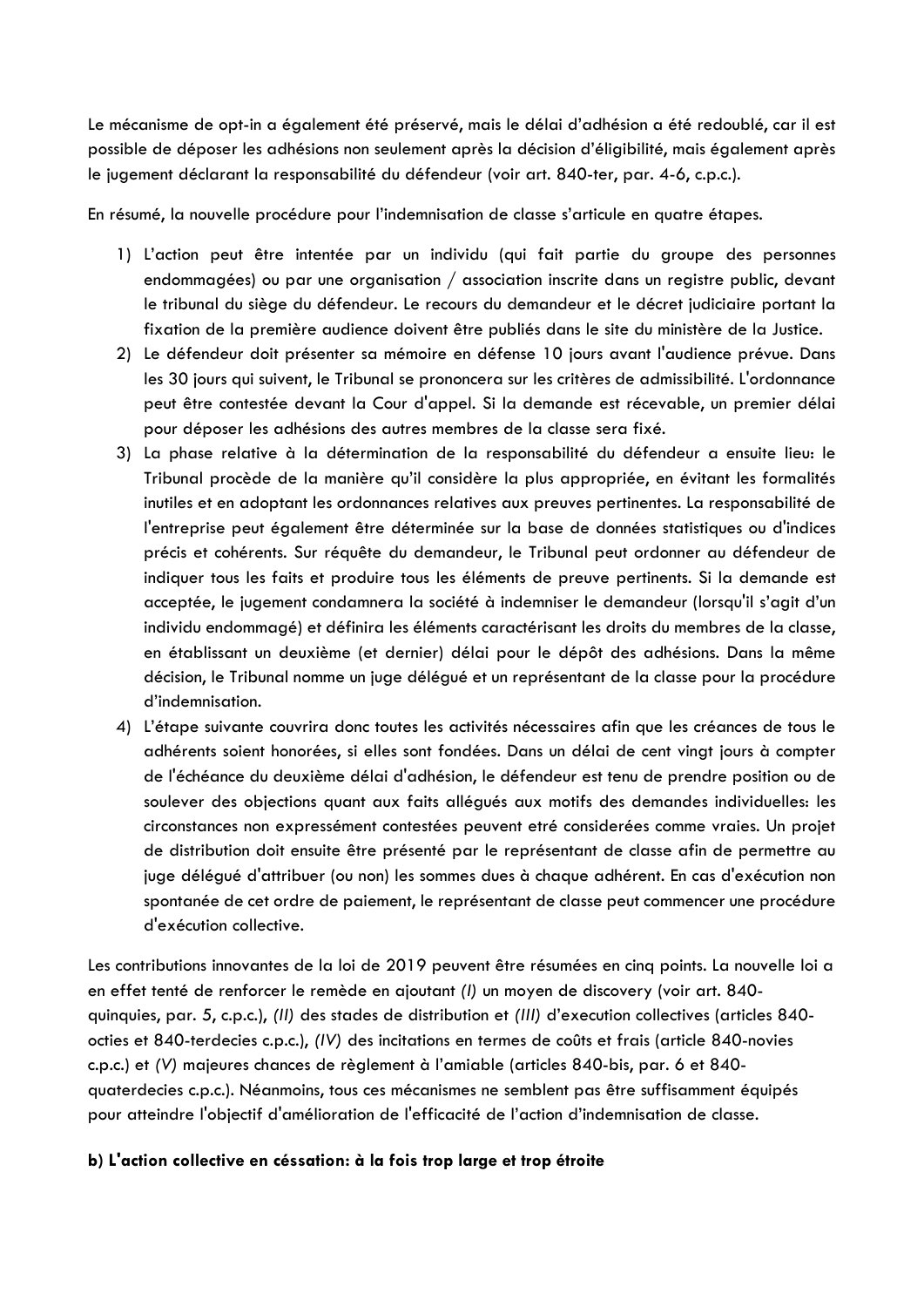Le mécanisme de opt-in a également été préservé, mais le délai d'adhésion a été redoublé, car il est possible de déposer les adhésions non seulement après la décision d'éligibilité, mais également après le jugement déclarant la responsabilité du défendeur (voir art. 840-ter, par. 4-6, c.p.c.).

En résumé, la nouvelle procédure pour l'indemnisation de classe s'articule en quatre étapes.

- 1) L'action peut être intentée par un individu (qui fait partie du groupe des personnes endommagées) ou par une organisation / association inscrite dans un registre public, devant le tribunal du siège du défendeur. Le recours du demandeur et le décret judiciaire portant la fixation de la première audience doivent être publiés dans le site du ministère de la Justice.
- 2) Le défendeur doit présenter sa mémoire en défense 10 jours avant l'audience prévue. Dans les 30 jours qui suivent, le Tribunal se prononcera sur les critères de admissibilité. L'ordonnance peut être contestée devant la Cour d'appel. Si la demande est récevable, un premier délai pour déposer les adhésions des autres membres de la classe sera fixé.
- 3) La phase relative à la détermination de la responsabilité du défendeur a ensuite lieu: le Tribunal procède de la manière qu'il considère la plus appropriée, en évitant les formalités inutiles et en adoptant les ordonnances relatives aux preuves pertinentes. La responsabilité de l'entreprise peut également être déterminée sur la base de données statistiques ou d'indices précis et cohérents. Sur réquête du demandeur, le Tribunal peut ordonner au défendeur de indiquer tous les faits et produire tous les éléments de preuve pertinents. Si la demande est acceptée, le jugement condamnera la société à indemniser le demandeur (lorsqu'il s'agit d'un individu endommagé) et définira les éléments caractérisant les droits du membres de la classe, en établissant un deuxième (et dernier) délai pour le dépôt des adhésions. Dans la même décision, le Tribunal nomme un juge délégué et un représentant de la classe pour la procédure d'indemnisation.
- 4) L'étape suivante couvrira donc toutes les activités nécessaires afin que les créances de tous le adhérents soient honorées, si elles sont fondées. Dans un délai de cent vingt jours à compter de l'échéance du deuxième délai d'adhésion, le défendeur est tenu de prendre position ou de soulever des objections quant aux faits allégués aux motifs des demandes individuelles: les circonstances non expressément contestées peuvent etré considerées comme vraies. Un projet de distribution doit ensuite être présenté par le représentant de classe afin de permettre au juge délégué d'attribuer (ou non) les sommes dues à chaque adhérent. En cas d'exécution non spontanée de cet ordre de paiement, le représentant de classe peut commencer une procédure d'exécution collective.

Les contributions innovantes de la loi de 2019 peuvent être résumées en cinq points. La nouvelle loi a en effet tenté de renforcer le remède en ajoutant *(I)* un moyen de discovery (voir art. 840 quinquies, par. 5, c.p.c.), *(II)* des stades de distribution et *(III)* d'execution collectives (articles 840 octies et 840-terdecies c.p.c.), *(IV)* des incitations en termes de coûts et frais (article 840-novies c.p.c.) et *(V)* majeures chances de règlement à l'amiable (articles 840-bis, par. 6 et 840 quaterdecies c.p.c.). Néanmoins, tous ces mécanismes ne semblent pas être suffisamment équipés pour atteindre l'objectif d'amélioration de l'efficacité de l'action d'indemnisation de classe.

### **b) L'action collective en céssation: à la fois trop large et trop étroite**